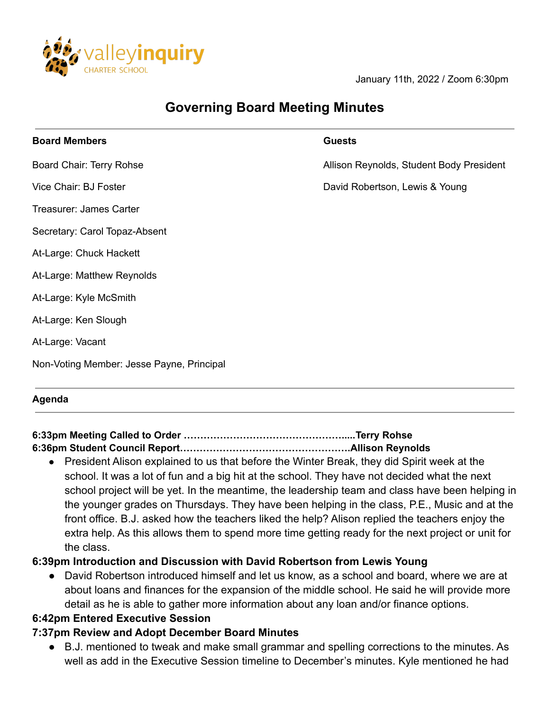

January 11th, 2022 / Zoom 6:30pm

# **Governing Board Meeting Minutes**

| <b>Board Members</b>                      | <b>Guests</b>                            |
|-------------------------------------------|------------------------------------------|
| Board Chair: Terry Rohse                  | Allison Reynolds, Student Body President |
| Vice Chair: BJ Foster                     | David Robertson, Lewis & Young           |
| Treasurer: James Carter                   |                                          |
| Secretary: Carol Topaz-Absent             |                                          |
| At-Large: Chuck Hackett                   |                                          |
| At-Large: Matthew Reynolds                |                                          |
| At-Large: Kyle McSmith                    |                                          |
| At-Large: Ken Slough                      |                                          |
| At-Large: Vacant                          |                                          |
| Non-Voting Member: Jesse Payne, Principal |                                          |
|                                           |                                          |

#### **Agenda**

## **6:33pm Meeting Called to Order ………………………………………….....Terry Rohse**

#### **6:36pm Student Council Report…………………………………………….Allison Reynolds**

● President Alison explained to us that before the Winter Break, they did Spirit week at the school. It was a lot of fun and a big hit at the school. They have not decided what the next school project will be yet. In the meantime, the leadership team and class have been helping in the younger grades on Thursdays. They have been helping in the class, P.E., Music and at the front office. B.J. asked how the teachers liked the help? Alison replied the teachers enjoy the extra help. As this allows them to spend more time getting ready for the next project or unit for the class.

#### **6:39pm Introduction and Discussion with David Robertson from Lewis Young**

David Robertson introduced himself and let us know, as a school and board, where we are at about loans and finances for the expansion of the middle school. He said he will provide more detail as he is able to gather more information about any loan and/or finance options.

#### **6:42pm Entered Executive Session**

#### **7:37pm Review and Adopt December Board Minutes**

● B.J. mentioned to tweak and make small grammar and spelling corrections to the minutes. As well as add in the Executive Session timeline to December's minutes. Kyle mentioned he had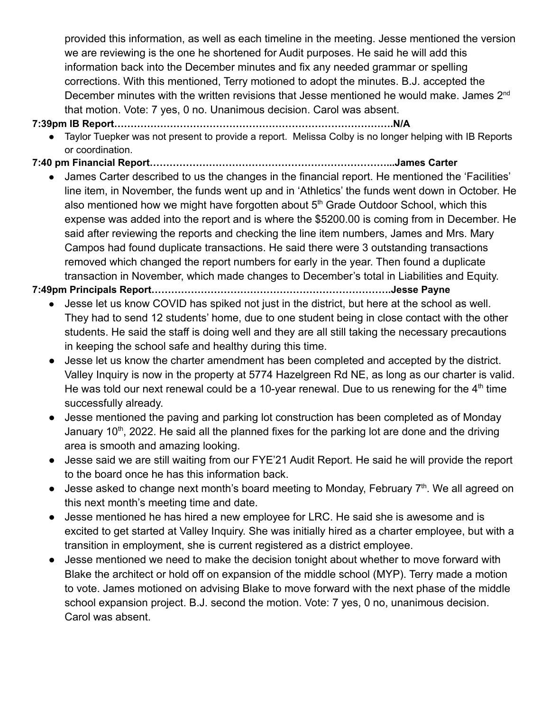provided this information, as well as each timeline in the meeting. Jesse mentioned the version we are reviewing is the one he shortened for Audit purposes. He said he will add this information back into the December minutes and fix any needed grammar or spelling corrections. With this mentioned, Terry motioned to adopt the minutes. B.J. accepted the December minutes with the written revisions that Jesse mentioned he would make. James 2<sup>nd</sup> that motion. Vote: 7 yes, 0 no. Unanimous decision. Carol was absent.

#### **7:39pm IB Report………………………………………………………………………….N/A**

- Taylor Tuepker was not present to provide a report. Melissa Colby is no longer helping with IB Reports or coordination.
- **7:40 pm Financial Report………………………………………………………………...James Carter**
	- James Carter described to us the changes in the financial report. He mentioned the 'Facilities' line item, in November, the funds went up and in 'Athletics' the funds went down in October. He also mentioned how we might have forgotten about  $5<sup>th</sup>$  Grade Outdoor School, which this expense was added into the report and is where the \$5200.00 is coming from in December. He said after reviewing the reports and checking the line item numbers, James and Mrs. Mary Campos had found duplicate transactions. He said there were 3 outstanding transactions removed which changed the report numbers for early in the year. Then found a duplicate transaction in November, which made changes to December's total in Liabilities and Equity.

## **7:49pm Principals Report……………………………………………………………….Jesse Payne**

- Jesse let us know COVID has spiked not just in the district, but here at the school as well. They had to send 12 students' home, due to one student being in close contact with the other students. He said the staff is doing well and they are all still taking the necessary precautions in keeping the school safe and healthy during this time.
- Jesse let us know the charter amendment has been completed and accepted by the district. Valley Inquiry is now in the property at 5774 Hazelgreen Rd NE, as long as our charter is valid. He was told our next renewal could be a 10-year renewal. Due to us renewing for the  $4<sup>th</sup>$  time successfully already.
- Jesse mentioned the paving and parking lot construction has been completed as of Monday January 10<sup>th</sup>, 2022. He said all the planned fixes for the parking lot are done and the driving area is smooth and amazing looking.
- Jesse said we are still waiting from our FYE'21 Audit Report. He said he will provide the report to the board once he has this information back.
- $\bullet$  Jesse asked to change next month's board meeting to Monday, February  $7<sup>th</sup>$ . We all agreed on this next month's meeting time and date.
- Jesse mentioned he has hired a new employee for LRC. He said she is awesome and is excited to get started at Valley Inquiry. She was initially hired as a charter employee, but with a transition in employment, she is current registered as a district employee.
- Jesse mentioned we need to make the decision tonight about whether to move forward with Blake the architect or hold off on expansion of the middle school (MYP). Terry made a motion to vote. James motioned on advising Blake to move forward with the next phase of the middle school expansion project. B.J. second the motion. Vote: 7 yes, 0 no, unanimous decision. Carol was absent.